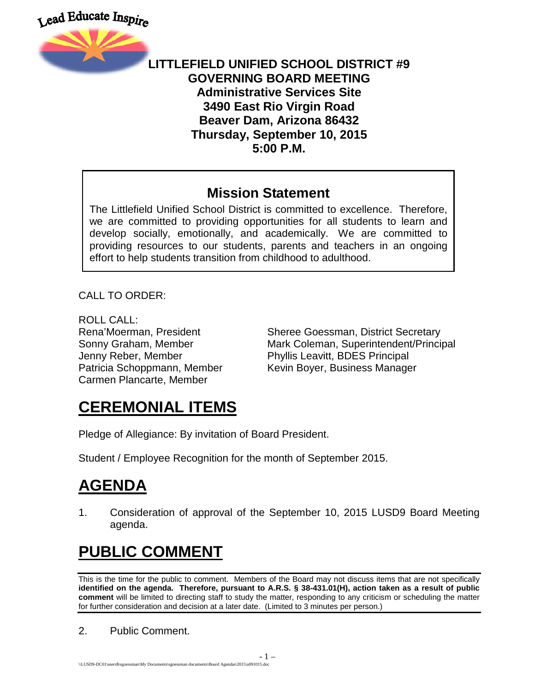



#### **LITTLEFIELD UNIFIED SCHOOL DISTRICT #9 GOVERNING BOARD MEETING Administrative Services Site 3490 East Rio Virgin Road Beaver Dam, Arizona 86432 Thursday, September 10, 2015 5:00 P.M.**

#### **Mission Statement**

The Littlefield Unified School District is committed to excellence. Therefore, we are committed to providing opportunities for all students to learn and develop socially, emotionally, and academically. We are committed to providing resources to our students, parents and teachers in an ongoing effort to help students transition from childhood to adulthood.

CALL TO ORDER:

ROLL CALL: Jenny Reber, Member Phyllis Leavitt, BDES Principal Carmen Plancarte, Member

Rena'Moerman, President Sheree Goessman, District Secretary Sonny Graham, Member **Mark Coleman, Superintendent/Principal** Patricia Schoppmann, Member Kevin Boyer, Business Manager

## **CEREMONIAL ITEMS**

Pledge of Allegiance: By invitation of Board President.

Student / Employee Recognition for the month of September 2015.

# **AGENDA**

1. Consideration of approval of the September 10, 2015 LUSD9 Board Meeting agenda.

# **PUBLIC COMMENT**

This is the time for the public to comment. Members of the Board may not discuss items that are not specifically **identified on the agenda. Therefore, pursuant to A.R.S. § 38-431.01(H), action taken as a result of public comment** will be limited to directing staff to study the matter, responding to any criticism or scheduling the matter for further consideration and decision at a later date. (Limited to 3 minutes per person.)

2. Public Comment.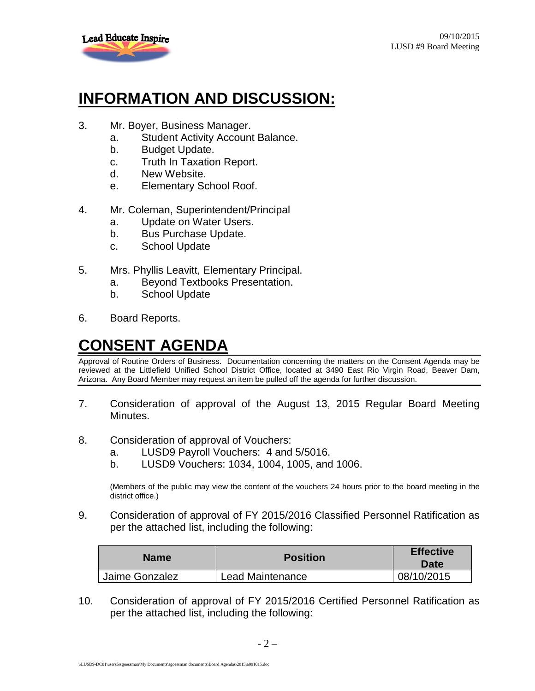

## **INFORMATION AND DISCUSSION:**

- 3. Mr. Boyer, Business Manager.
	- a. Student Activity Account Balance.
	- b. Budget Update.
	- c. Truth In Taxation Report.
	- d. New Website.
	- e. Elementary School Roof.
- 4. Mr. Coleman, Superintendent/Principal
	- a. Update on Water Users.
	- b. Bus Purchase Update.
	- c. School Update
- 5. Mrs. Phyllis Leavitt, Elementary Principal.
	- a. Beyond Textbooks Presentation.
	- b. School Update
- 6. Board Reports.

## **CONSENT AGENDA**

Approval of Routine Orders of Business. Documentation concerning the matters on the Consent Agenda may be reviewed at the Littlefield Unified School District Office, located at 3490 East Rio Virgin Road, Beaver Dam, Arizona. Any Board Member may request an item be pulled off the agenda for further discussion.

- 7. Consideration of approval of the August 13, 2015 Regular Board Meeting Minutes.
- 8. Consideration of approval of Vouchers:
	- a. LUSD9 Payroll Vouchers: 4 and 5/5016.
	- b. LUSD9 Vouchers: 1034, 1004, 1005, and 1006.

(Members of the public may view the content of the vouchers 24 hours prior to the board meeting in the district office.)

9. Consideration of approval of FY 2015/2016 Classified Personnel Ratification as per the attached list, including the following:

| <b>Name</b>    | <b>Position</b>         | <b>Effective</b><br>Date |
|----------------|-------------------------|--------------------------|
| Jaime Gonzalez | <b>Lead Maintenance</b> | 08/10/2015               |

10. Consideration of approval of FY 2015/2016 Certified Personnel Ratification as per the attached list, including the following: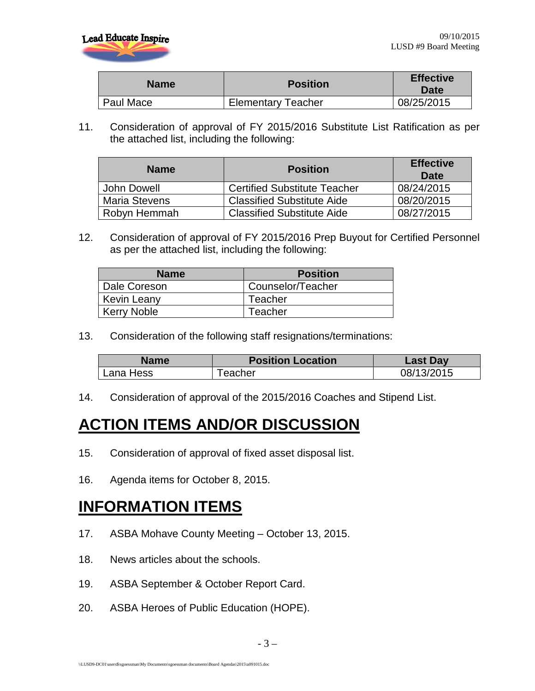

| <b>Name</b> | <b>Position</b>           | <b>Effective</b><br>Date |
|-------------|---------------------------|--------------------------|
| Paul Mace   | <b>Elementary Teacher</b> | 08/25/2015               |

11. Consideration of approval of FY 2015/2016 Substitute List Ratification as per the attached list, including the following:

| <b>Name</b>          | <b>Position</b>                     | <b>Effective</b><br>Date |
|----------------------|-------------------------------------|--------------------------|
| John Dowell          | <b>Certified Substitute Teacher</b> | 08/24/2015               |
| <b>Maria Stevens</b> | <b>Classified Substitute Aide</b>   | 08/20/2015               |
| Robyn Hemmah         | <b>Classified Substitute Aide</b>   | 08/27/2015               |

12. Consideration of approval of FY 2015/2016 Prep Buyout for Certified Personnel as per the attached list, including the following:

| <b>Name</b>        | <b>Position</b>   |
|--------------------|-------------------|
| Dale Coreson       | Counselor/Teacher |
| <b>Kevin Leany</b> | Teacher           |
| <b>Kerry Noble</b> | Teacher           |

13. Consideration of the following staff resignations/terminations:

| Name      | <b>Position Location</b> | Last Day   |
|-----------|--------------------------|------------|
| Lana Hess | <sup>-</sup> eacher      | 08/13/2015 |

14. Consideration of approval of the 2015/2016 Coaches and Stipend List.

#### **ACTION ITEMS AND/OR DISCUSSION**

- 15. Consideration of approval of fixed asset disposal list.
- 16. Agenda items for October 8, 2015.

#### **INFORMATION ITEMS**

- 17. ASBA Mohave County Meeting October 13, 2015.
- 18. News articles about the schools.
- 19. ASBA September & October Report Card.
- 20. ASBA Heroes of Public Education (HOPE).